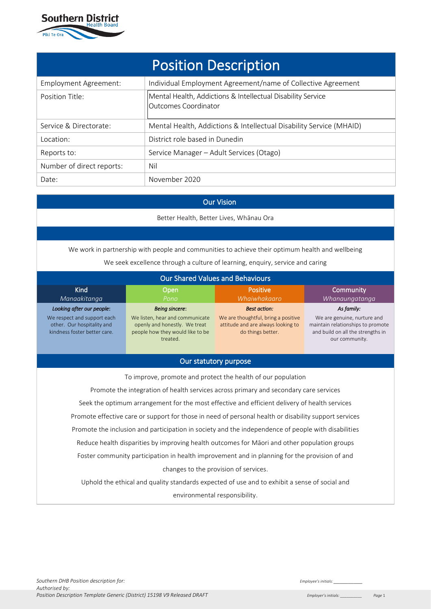

| <b>Position Description</b> |                                                                                     |  |  |
|-----------------------------|-------------------------------------------------------------------------------------|--|--|
| Employment Agreement:       | Individual Employment Agreement/name of Collective Agreement                        |  |  |
| Position Title:             | Mental Health, Addictions & Intellectual Disability Service<br>Outcomes Coordinator |  |  |
| Service & Directorate:      | Mental Health, Addictions & Intellectual Disability Service (MHAID)                 |  |  |
| Location:                   | District role based in Dunedin                                                      |  |  |
| Reports to:                 | Service Manager - Adult Services (Otago)                                            |  |  |
| Number of direct reports:   | Nil                                                                                 |  |  |
| Date:                       | November 2020                                                                       |  |  |

# Our Vision

Better Health, Better Lives, Whānau Ora

We work in partnership with people and communities to achieve their optimum health and wellbeing

We seek excellence through a culture of learning, enquiry, service and caring

| <b>Our Shared Values and Behaviours</b>                                                               |                                                                                                                  |                                                                                                |                                                                                                                         |
|-------------------------------------------------------------------------------------------------------|------------------------------------------------------------------------------------------------------------------|------------------------------------------------------------------------------------------------|-------------------------------------------------------------------------------------------------------------------------|
| <b>Kind</b><br>Community<br><b>Positive</b><br>Open                                                   |                                                                                                                  |                                                                                                |                                                                                                                         |
| Manaakitanga<br>Looking after our people:                                                             | Pono<br><b>Being sincere:</b>                                                                                    | Whaiwhakaaro<br><b>Best action:</b>                                                            | Whanaungatanga<br>As family:                                                                                            |
| We respect and support each<br>other. Our hospitality and<br>kindness foster better care.             | We listen, hear and communicate<br>openly and honestly. We treat<br>people how they would like to be<br>treated. | We are thoughtful, bring a positive<br>attitude and are always looking to<br>do things better. | We are genuine, nurture and<br>maintain relationships to promote<br>and build on all the strengths in<br>our community. |
| Our statutory purpose                                                                                 |                                                                                                                  |                                                                                                |                                                                                                                         |
|                                                                                                       | To improve, promote and protect the health of our population                                                     |                                                                                                |                                                                                                                         |
|                                                                                                       | Promote the integration of health services across primary and secondary care services                            |                                                                                                |                                                                                                                         |
| Seek the optimum arrangement for the most effective and efficient delivery of health services         |                                                                                                                  |                                                                                                |                                                                                                                         |
| Promote effective care or support for those in need of personal health or disability support services |                                                                                                                  |                                                                                                |                                                                                                                         |
| Promote the inclusion and participation in society and the independence of people with disabilities   |                                                                                                                  |                                                                                                |                                                                                                                         |
| Reduce health disparities by improving health outcomes for Māori and other population groups          |                                                                                                                  |                                                                                                |                                                                                                                         |
| Foster community participation in health improvement and in planning for the provision of and         |                                                                                                                  |                                                                                                |                                                                                                                         |
| changes to the provision of services.                                                                 |                                                                                                                  |                                                                                                |                                                                                                                         |
| Uphold the ethical and quality standards expected of use and to exhibit a sense of social and         |                                                                                                                  |                                                                                                |                                                                                                                         |
| environmental responsibility.                                                                         |                                                                                                                  |                                                                                                |                                                                                                                         |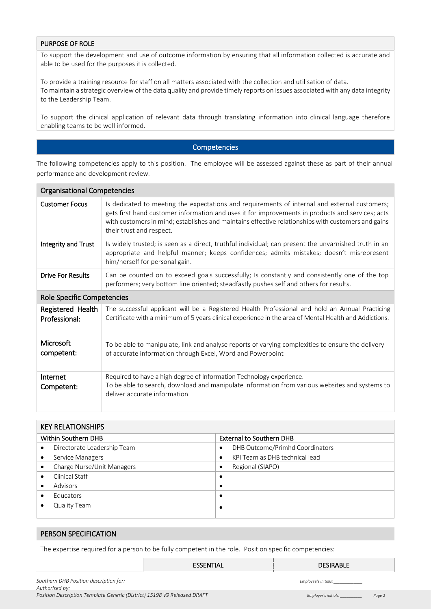### PURPOSE OF ROLE

To support the development and use of outcome information by ensuring that all information collected is accurate and able to be used for the purposes it is collected.

To provide a training resource for staff on all matters associated with the collection and utilisation of data. To maintain a strategic overview of the data quality and provide timely reports on issues associated with any data integrity to the Leadership Team.

To support the clinical application of relevant data through translating information into clinical language therefore enabling teams to be well informed.

### Competencies

The following competencies apply to this position. The employee will be assessed against these as part of their annual performance and development review.

| <b>Organisational Competencies</b> |                                                                                                                                                                                                                                                                                                                                     |  |  |
|------------------------------------|-------------------------------------------------------------------------------------------------------------------------------------------------------------------------------------------------------------------------------------------------------------------------------------------------------------------------------------|--|--|
| <b>Customer Focus</b>              | Is dedicated to meeting the expectations and requirements of internal and external customers;<br>gets first hand customer information and uses it for improvements in products and services; acts<br>with customers in mind; establishes and maintains effective relationships with customers and gains<br>their trust and respect. |  |  |
| Integrity and Trust                | Is widely trusted; is seen as a direct, truthful individual; can present the unvarnished truth in an<br>appropriate and helpful manner; keeps confidences; admits mistakes; doesn't misrepresent<br>him/herself for personal gain.                                                                                                  |  |  |
| <b>Drive For Results</b>           | Can be counted on to exceed goals successfully; is constantly and consistently one of the top<br>performers; very bottom line oriented; steadfastly pushes self and others for results.                                                                                                                                             |  |  |
| Role Specific Competencies         |                                                                                                                                                                                                                                                                                                                                     |  |  |
| Registered Health<br>Professional: | The successful applicant will be a Registered Health Professional and hold an Annual Practicing<br>Certificate with a minimum of 5 years clinical experience in the area of Mental Health and Addictions.                                                                                                                           |  |  |
| Microsoft<br>competent:            | To be able to manipulate, link and analyse reports of varying complexities to ensure the delivery<br>of accurate information through Excel, Word and Powerpoint                                                                                                                                                                     |  |  |
| Internet<br>Competent:             | Required to have a high degree of Information Technology experience.<br>To be able to search, download and manipulate information from various websites and systems to<br>deliver accurate information                                                                                                                              |  |  |

| <b>KEY RELATIONSHIPS</b>    |                                              |  |
|-----------------------------|----------------------------------------------|--|
| Within Southern DHB         | <b>External to Southern DHB</b>              |  |
| Directorate Leadership Team | DHB Outcome/Primhd Coordinators<br>$\bullet$ |  |
| Service Managers            | KPI Team as DHB technical lead<br>$\bullet$  |  |
| Charge Nurse/Unit Managers  | Regional (SIAPO)<br>$\bullet$                |  |
| Clinical Staff              | $\bullet$                                    |  |
| Advisors                    | $\bullet$                                    |  |
| Educators                   | $\bullet$                                    |  |
| Quality Team                | ٠                                            |  |

#### PERSON SPECIFICATION

The expertise required for a person to be fully competent in the role. Position specific competencies:

|                                                                          | <b>ESSENTIAL</b> | <b>DESIRABLE</b>     |        |
|--------------------------------------------------------------------------|------------------|----------------------|--------|
| Southern DHB Position description for:<br>Authorised by:                 |                  | Employee's initials: |        |
| Position Description Template Generic (District) 15198 V9 Released DRAFT |                  | Employer's initials: | Page 2 |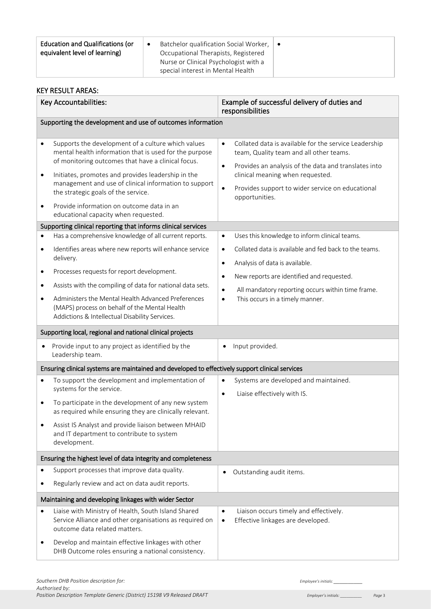| <b>Education and Qualifications (or</b><br>Batchelor qualification Social Worker, $\vert \bullet \vert$<br>equivalent level of learning)<br>Occupational Therapists, Registered<br>Nurse or Clinical Psychologist with a<br>special interest in Mental Health |  |
|---------------------------------------------------------------------------------------------------------------------------------------------------------------------------------------------------------------------------------------------------------------|--|
|---------------------------------------------------------------------------------------------------------------------------------------------------------------------------------------------------------------------------------------------------------------|--|

#### KEY RESULT AREAS: Key Accountabilities: Example of successful delivery of duties and responsibilities Supporting the development and use of outcomes information Supports the development of a culture which values mental health information that is used for the purpose of monitoring outcomes that have a clinical focus. • Initiates, promotes and provides leadership in the management and use of clinical information to support the strategic goals of the service. • Provide information on outcome data in an educational capacity when requested. Collated data is available for the service Leadership team, Quality team and all other teams. • Provides an analysis of the data and translates into clinical meaning when requested. Provides support to wider service on educational opportunities. Supporting clinical reporting that informs clinical services • Has a comprehensive knowledge of all current reports. • Identifies areas where new reports will enhance service delivery. • Processes requests for report development. Assists with the compiling of data for national data sets. • Administers the Mental Health Advanced Preferences (MAPS) process on behalf of the Mental Health Addictions & Intellectual Disability Services. • Uses this knowledge to inform clinical teams. • Collated data is available and fed back to the teams. • Analysis of data is available. • New reports are identified and requested. • All mandatory reporting occurs within time frame. This occurs in a timely manner. Supporting local, regional and national clinical projects • Provide input to any project as identified by the Leadership team. • Input provided. Ensuring clinical systems are maintained and developed to effectively support clinical services • To support the development and implementation of systems for the service. • To participate in the development of any new system as required while ensuring they are clinically relevant. Assist IS Analyst and provide liaison between MHAID and IT department to contribute to system development. Systems are developed and maintained. • Liaise effectively with IS. Ensuring the highest level of data integrity and completeness • Support processes that improve data quality. • Regularly review and act on data audit reports. • Outstanding audit items. Maintaining and developing linkages with wider Sector • Liaise with Ministry of Health, South Island Shared Service Alliance and other organisations as required on outcome data related matters. • Develop and maintain effective linkages with other Liaison occurs timely and effectively. • Effective linkages are developed.

DHB Outcome roles ensuring a national consistency.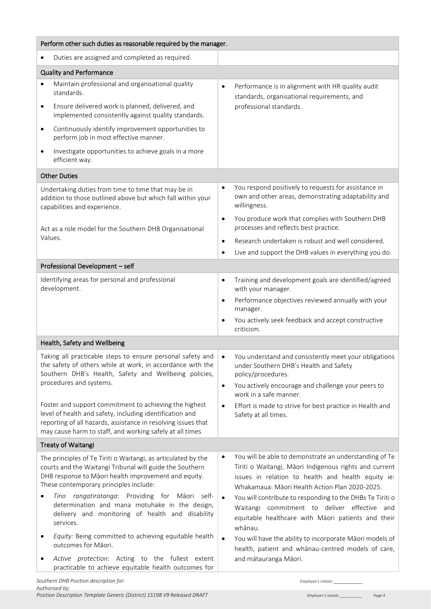|                                                                                                                                                                                                              | Perform other such duties as reasonable required by the manager.                                                                                                                                                                                                                                                                                                                                                                                                                                                                    |                                     |                                                                                                                                                                                                                                                                                                                                                                                                                                                                                                                                                   |
|--------------------------------------------------------------------------------------------------------------------------------------------------------------------------------------------------------------|-------------------------------------------------------------------------------------------------------------------------------------------------------------------------------------------------------------------------------------------------------------------------------------------------------------------------------------------------------------------------------------------------------------------------------------------------------------------------------------------------------------------------------------|-------------------------------------|---------------------------------------------------------------------------------------------------------------------------------------------------------------------------------------------------------------------------------------------------------------------------------------------------------------------------------------------------------------------------------------------------------------------------------------------------------------------------------------------------------------------------------------------------|
| $\bullet$                                                                                                                                                                                                    | Duties are assigned and completed as required.                                                                                                                                                                                                                                                                                                                                                                                                                                                                                      |                                     |                                                                                                                                                                                                                                                                                                                                                                                                                                                                                                                                                   |
|                                                                                                                                                                                                              | <b>Quality and Performance</b>                                                                                                                                                                                                                                                                                                                                                                                                                                                                                                      |                                     |                                                                                                                                                                                                                                                                                                                                                                                                                                                                                                                                                   |
| $\bullet$<br>$\bullet$                                                                                                                                                                                       | Maintain professional and organisational quality<br>standards.<br>Ensure delivered work is planned, delivered, and                                                                                                                                                                                                                                                                                                                                                                                                                  | $\bullet$                           | Performance is in alignment with HR quality audit<br>standards, organisational requirements, and<br>professional standards.                                                                                                                                                                                                                                                                                                                                                                                                                       |
|                                                                                                                                                                                                              | implemented consistently against quality standards.                                                                                                                                                                                                                                                                                                                                                                                                                                                                                 |                                     |                                                                                                                                                                                                                                                                                                                                                                                                                                                                                                                                                   |
| $\bullet$                                                                                                                                                                                                    | Continuously identify improvement opportunities to<br>perform job in most effective manner.                                                                                                                                                                                                                                                                                                                                                                                                                                         |                                     |                                                                                                                                                                                                                                                                                                                                                                                                                                                                                                                                                   |
| $\bullet$                                                                                                                                                                                                    | Investigate opportunities to achieve goals in a more<br>efficient way.                                                                                                                                                                                                                                                                                                                                                                                                                                                              |                                     |                                                                                                                                                                                                                                                                                                                                                                                                                                                                                                                                                   |
|                                                                                                                                                                                                              | <b>Other Duties</b>                                                                                                                                                                                                                                                                                                                                                                                                                                                                                                                 |                                     |                                                                                                                                                                                                                                                                                                                                                                                                                                                                                                                                                   |
|                                                                                                                                                                                                              | Undertaking duties from time to time that may be in<br>addition to those outlined above but which fall within your<br>capabilities and experience.                                                                                                                                                                                                                                                                                                                                                                                  | $\bullet$                           | You respond positively to requests for assistance in<br>own and other areas, demonstrating adaptability and<br>willingness.                                                                                                                                                                                                                                                                                                                                                                                                                       |
| Act as a role model for the Southern DHB Organisational                                                                                                                                                      |                                                                                                                                                                                                                                                                                                                                                                                                                                                                                                                                     | $\bullet$                           | You produce work that complies with Southern DHB<br>processes and reflects best practice.                                                                                                                                                                                                                                                                                                                                                                                                                                                         |
|                                                                                                                                                                                                              | Values.                                                                                                                                                                                                                                                                                                                                                                                                                                                                                                                             | $\bullet$                           | Research undertaken is robust and well considered.                                                                                                                                                                                                                                                                                                                                                                                                                                                                                                |
|                                                                                                                                                                                                              |                                                                                                                                                                                                                                                                                                                                                                                                                                                                                                                                     | $\bullet$                           | Live and support the DHB values in everything you do.                                                                                                                                                                                                                                                                                                                                                                                                                                                                                             |
| Professional Development - self                                                                                                                                                                              |                                                                                                                                                                                                                                                                                                                                                                                                                                                                                                                                     |                                     |                                                                                                                                                                                                                                                                                                                                                                                                                                                                                                                                                   |
|                                                                                                                                                                                                              | Identifying areas for personal and professional<br>development.                                                                                                                                                                                                                                                                                                                                                                                                                                                                     | $\bullet$                           | Training and development goals are identified/agreed<br>with your manager.                                                                                                                                                                                                                                                                                                                                                                                                                                                                        |
|                                                                                                                                                                                                              |                                                                                                                                                                                                                                                                                                                                                                                                                                                                                                                                     | $\bullet$                           | Performance objectives reviewed annually with your<br>manager.                                                                                                                                                                                                                                                                                                                                                                                                                                                                                    |
|                                                                                                                                                                                                              |                                                                                                                                                                                                                                                                                                                                                                                                                                                                                                                                     | $\bullet$                           | You actively seek feedback and accept constructive<br>criticism.                                                                                                                                                                                                                                                                                                                                                                                                                                                                                  |
|                                                                                                                                                                                                              | Health, Safety and Wellbeing                                                                                                                                                                                                                                                                                                                                                                                                                                                                                                        |                                     |                                                                                                                                                                                                                                                                                                                                                                                                                                                                                                                                                   |
| Taking all practicable steps to ensure personal safety and<br>the safety of others while at work, in accordance with the<br>Southern DHB's Health, Safety and Wellbeing policies,<br>procedures and systems. |                                                                                                                                                                                                                                                                                                                                                                                                                                                                                                                                     | $\bullet$                           | You understand and consistently meet your obligations<br>under Southern DHB's Health and Safety<br>policy/procedures.                                                                                                                                                                                                                                                                                                                                                                                                                             |
|                                                                                                                                                                                                              |                                                                                                                                                                                                                                                                                                                                                                                                                                                                                                                                     | $\bullet$                           | You actively encourage and challenge your peers to<br>work in a safe manner.                                                                                                                                                                                                                                                                                                                                                                                                                                                                      |
|                                                                                                                                                                                                              | Foster and support commitment to achieving the highest<br>level of health and safety, including identification and<br>reporting of all hazards, assistance in resolving issues that<br>may cause harm to staff, and working safely at all times                                                                                                                                                                                                                                                                                     | $\bullet$                           | Effort is made to strive for best practice in Health and<br>Safety at all times.                                                                                                                                                                                                                                                                                                                                                                                                                                                                  |
| <b>Treaty of Waitangi</b>                                                                                                                                                                                    |                                                                                                                                                                                                                                                                                                                                                                                                                                                                                                                                     |                                     |                                                                                                                                                                                                                                                                                                                                                                                                                                                                                                                                                   |
| ٠<br>٠                                                                                                                                                                                                       | The principles of Te Tiriti o Waitangi, as articulated by the<br>courts and the Waitangi Tribunal will guide the Southern<br>DHB response to Māori health improvement and equity.<br>These contemporary principles include:<br>Tino rangatiratanga: Providing for Māori self-<br>determination and mana motuhake in the design,<br>delivery and monitoring of health and disability<br>services.<br>Equity: Being committed to achieving equitable health<br>outcomes for Māori.<br>Active protection: Acting to the fullest extent | $\bullet$<br>$\bullet$<br>$\bullet$ | You will be able to demonstrate an understanding of Te<br>Tiriti o Waitangi, Māori Indigenous rights and current<br>issues in relation to health and health equity ie:<br>Whakamaua: Māori Health Action Plan 2020-2025.<br>You will contribute to responding to the DHBs Te Tiriti o<br>Waitangi commitment to deliver effective and<br>equitable healthcare with Māori patients and their<br>whānau.<br>You will have the ability to incorporate Māori models of<br>health, patient and whanau-centred models of care,<br>and mātauranga Māori. |
|                                                                                                                                                                                                              | practicable to achieve equitable health outcomes for<br>Southern DHB Position description for:                                                                                                                                                                                                                                                                                                                                                                                                                                      |                                     | Employee's initials:                                                                                                                                                                                                                                                                                                                                                                                                                                                                                                                              |